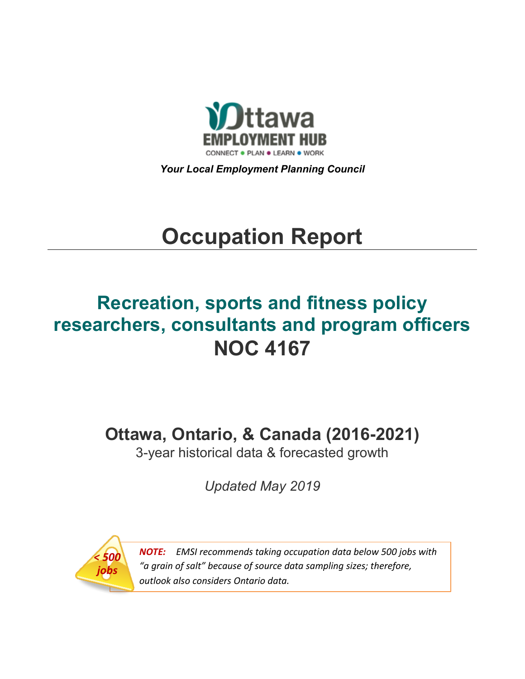

*Your Local Employment Planning Council*

# **Occupation Report**

## **Recreation, sports and fitness policy researchers, consultants and program officers NOC 4167**

**Ottawa, Ontario, & Canada (2016-2021)**

3-year historical data & forecasted growth

*Updated May 2019*



*NOTE: EMSI recommends taking occupation data below 500 jobs with "a grain of salt" because of source data sampling sizes; therefore, outlook also considers Ontario data.*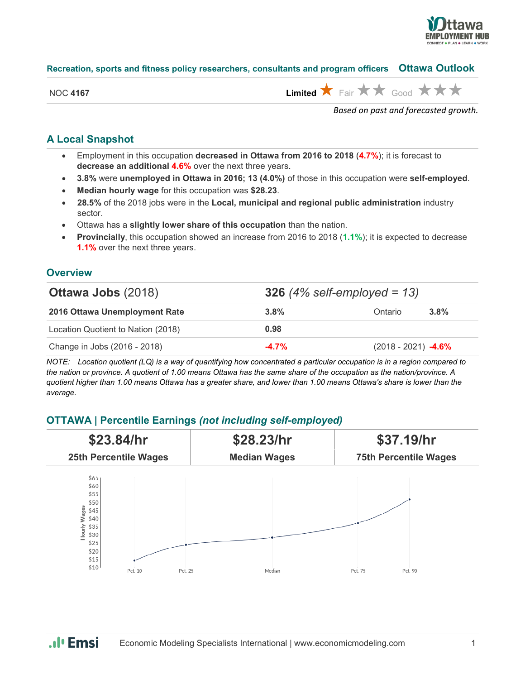

#### **Recreation, sports and fitness policy researchers, consultants and program officers Ottawa Outlook**

| NOC 4167 | Limited $\bigstar$ Fair $\bigstar \star$ Good $\bigstar \star \star$ |  |  |  |  |
|----------|----------------------------------------------------------------------|--|--|--|--|

*Based on past and forecasted growth.*

## **A Local Snapshot**

- Employment in this occupation **decreased in Ottawa from 2016 to 2018** (**4.7%**); it is forecast to **decrease an additional 4.6%** over the next three years.
- **3.8%** were **unemployed in Ottawa in 2016; 13 (4.0%)** of those in this occupation were **self-employed**.
- **Median hourly wage** for this occupation was **\$28.23**.
- **28.5%** of the 2018 jobs were in the **Local, municipal and regional public administration** industry sector.
- Ottawa has a **slightly lower share of this occupation** than the nation.
- **Provincially**, this occupation showed an increase from 2016 to 2018 (**1.1%**); it is expected to decrease **1.1%** over the next three years.

### **Overview**

| <b>Ottawa Jobs (2018)</b>          | <b>326</b> (4% self-employed = 13) |                       |         |  |
|------------------------------------|------------------------------------|-----------------------|---------|--|
| 2016 Ottawa Unemployment Rate      | 3.8%                               | Ontario               | $3.8\%$ |  |
| Location Quotient to Nation (2018) | 0.98                               |                       |         |  |
| Change in Jobs (2016 - 2018)       | $-4.7%$                            | $(2018 - 2021)$ -4.6% |         |  |

*NOTE: Location quotient (LQ) is a way of quantifying how concentrated a particular occupation is in a region compared to the nation or province. A quotient of 1.00 means Ottawa has the same share of the occupation as the nation/province. A quotient higher than 1.00 means Ottawa has a greater share, and lower than 1.00 means Ottawa's share is lower than the average.*

## **OTTAWA | Percentile Earnings** *(not including self-employed)*



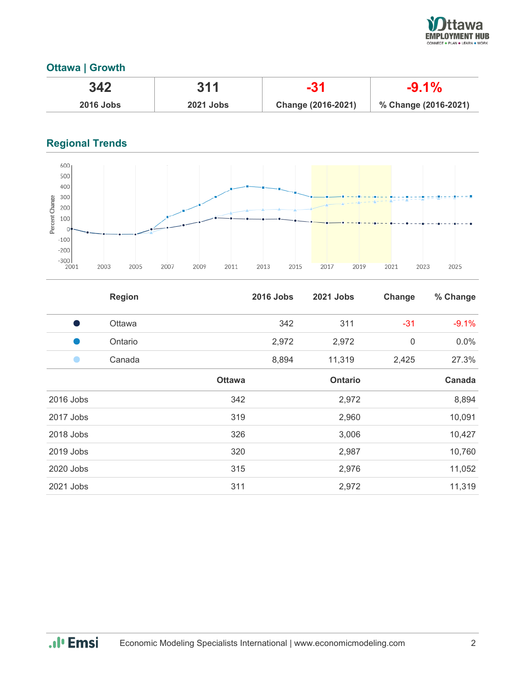

## **Ottawa | Growth**

| 342              | 311              |                    | $-9.1\%$             |  |  |
|------------------|------------------|--------------------|----------------------|--|--|
| <b>2016 Jobs</b> | <b>2021 Jobs</b> | Change (2016-2021) | % Change (2016-2021) |  |  |

## **Regional Trends**



|           | <b>Region</b> |               | <b>2016 Jobs</b> | 2021 Jobs      | Change      | % Change |
|-----------|---------------|---------------|------------------|----------------|-------------|----------|
| - 1       | Ottawa        |               | 342              | 311            | $-31$       | $-9.1%$  |
| u.        | Ontario       |               | 2,972            | 2,972          | $\mathbf 0$ | $0.0\%$  |
|           | Canada        |               | 8,894            | 11,319         | 2,425       | 27.3%    |
|           |               | <b>Ottawa</b> |                  | <b>Ontario</b> |             | Canada   |
| 2016 Jobs |               | 342           |                  | 2,972          |             | 8,894    |
| 2017 Jobs |               | 319           |                  | 2,960          |             | 10,091   |
| 2018 Jobs |               | 326           |                  | 3,006          |             | 10,427   |
| 2019 Jobs |               | 320           |                  | 2,987          |             | 10,760   |
| 2020 Jobs |               | 315           |                  | 2,976          |             | 11,052   |
| 2021 Jobs |               | 311           |                  | 2,972          |             | 11,319   |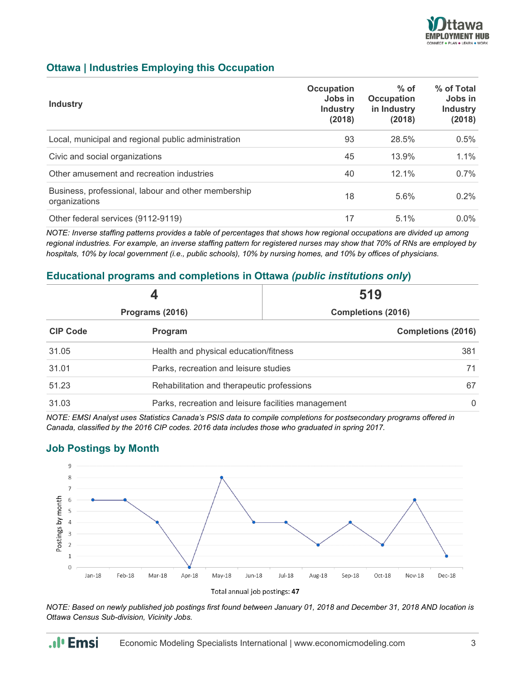

## **Ottawa | Industries Employing this Occupation**

| <b>Industry</b>                                                      | Occupation<br>Jobs in<br><b>Industry</b><br>(2018) | $%$ of<br><b>Occupation</b><br>in Industry<br>(2018) | % of Total<br>Jobs in<br><b>Industry</b><br>(2018) |
|----------------------------------------------------------------------|----------------------------------------------------|------------------------------------------------------|----------------------------------------------------|
| Local, municipal and regional public administration                  | 93                                                 | 28.5%                                                | 0.5%                                               |
| Civic and social organizations                                       | 45                                                 | 13.9%                                                | $1.1\%$                                            |
| Other amusement and recreation industries                            | 40                                                 | $12.1\%$                                             | $0.7\%$                                            |
| Business, professional, labour and other membership<br>organizations | 18                                                 | 5.6%                                                 | $0.2\%$                                            |
| Other federal services (9112-9119)                                   | 17                                                 | $5.1\%$                                              | $0.0\%$                                            |

*NOTE: Inverse staffing patterns provides a table of percentages that shows how regional occupations are divided up among regional industries. For example, an inverse staffing pattern for registered nurses may show that 70% of RNs are employed by hospitals, 10% by local government (i.e., public schools), 10% by nursing homes, and 10% by offices of physicians.*

## **Educational programs and completions in Ottawa** *(public institutions only***)**

|                 |                                                     | 519                       |  |  |  |
|-----------------|-----------------------------------------------------|---------------------------|--|--|--|
| Programs (2016) |                                                     | <b>Completions (2016)</b> |  |  |  |
| <b>CIP Code</b> | Program                                             | <b>Completions (2016)</b> |  |  |  |
| 31.05           | Health and physical education/fitness               | 381                       |  |  |  |
| 31.01           | Parks, recreation and leisure studies               | 71                        |  |  |  |
| 51.23           | Rehabilitation and therapeutic professions          |                           |  |  |  |
| 31.03           | Parks, recreation and leisure facilities management |                           |  |  |  |

*NOTE: EMSI Analyst uses Statistics Canada's PSIS data to compile completions for postsecondary programs offered in Canada, classified by the 2016 CIP codes. 2016 data includes those who graduated in spring 2017.*

## **Job Postings by Month**



*NOTE: Based on newly published job postings first found between January 01, 2018 and December 31, 2018 AND location is Ottawa Census Sub-division, Vicinity Jobs.*